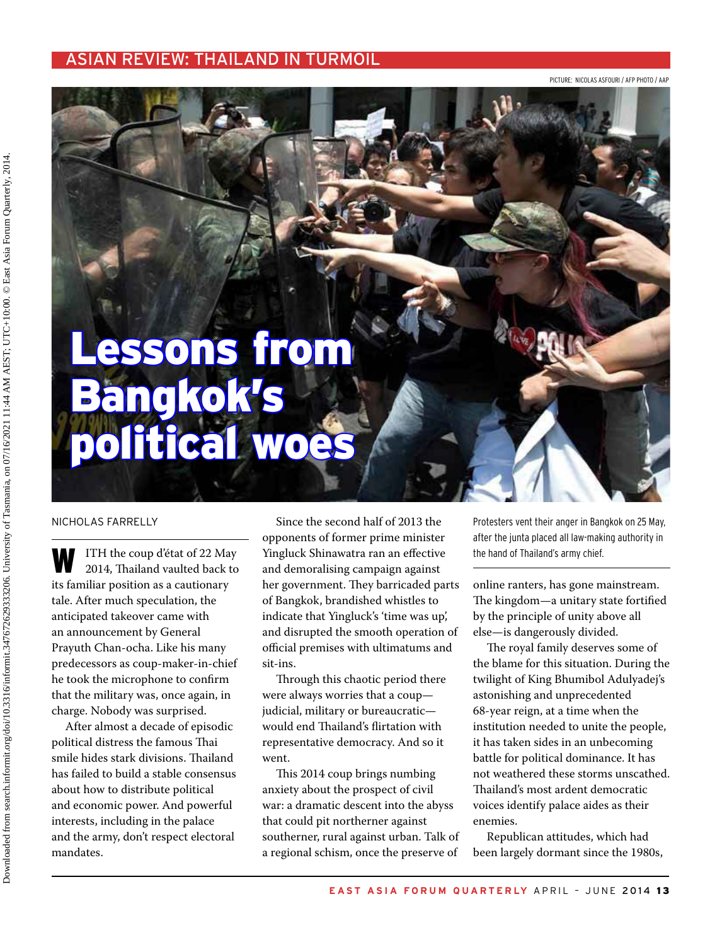#### asian review: thailand in turmoil

picture: Nicolas ASFOURI / afp photo / AAp

# Lessons from Bangkok's political woes

#### Nicholas Farrelly

ITH the coup d'état of 22 May 2014, Thailand vaulted back to its familiar position as a cautionary tale. After much speculation, the anticipated takeover came with an announcement by General Prayuth Chan-ocha. Like his many predecessors as coup-maker-in-chief he took the microphone to confirm that the military was, once again, in charge. Nobody was surprised.

After almost a decade of episodic political distress the famous Thai smile hides stark divisions. Thailand has failed to build a stable consensus about how to distribute political and economic power. And powerful interests, including in the palace and the army, don't respect electoral mandates.

Since the second half of 2013 the opponents of former prime minister Yingluck Shinawatra ran an effective and demoralising campaign against her government. They barricaded parts of Bangkok, brandished whistles to indicate that Yingluck's 'time was up', and disrupted the smooth operation of official premises with ultimatums and sit-ins.

Through this chaotic period there were always worries that a coup judicial, military or bureaucratic would end Thailand's flirtation with representative democracy. And so it went.

This 2014 coup brings numbing anxiety about the prospect of civil war: a dramatic descent into the abyss that could pit northerner against southerner, rural against urban. Talk of a regional schism, once the preserve of

Protesters vent their anger in Bangkok on 25 May, after the junta placed all law-making authority in the hand of Thailand's army chief.

online ranters, has gone mainstream. The kingdom—a unitary state fortified by the principle of unity above all else—is dangerously divided.

The royal family deserves some of the blame for this situation. During the twilight of King Bhumibol Adulyadej's astonishing and unprecedented 68-year reign, at a time when the institution needed to unite the people, it has taken sides in an unbecoming battle for political dominance. It has not weathered these storms unscathed. Thailand's most ardent democratic voices identify palace aides as their enemies.

Republican attitudes, which had been largely dormant since the 1980s,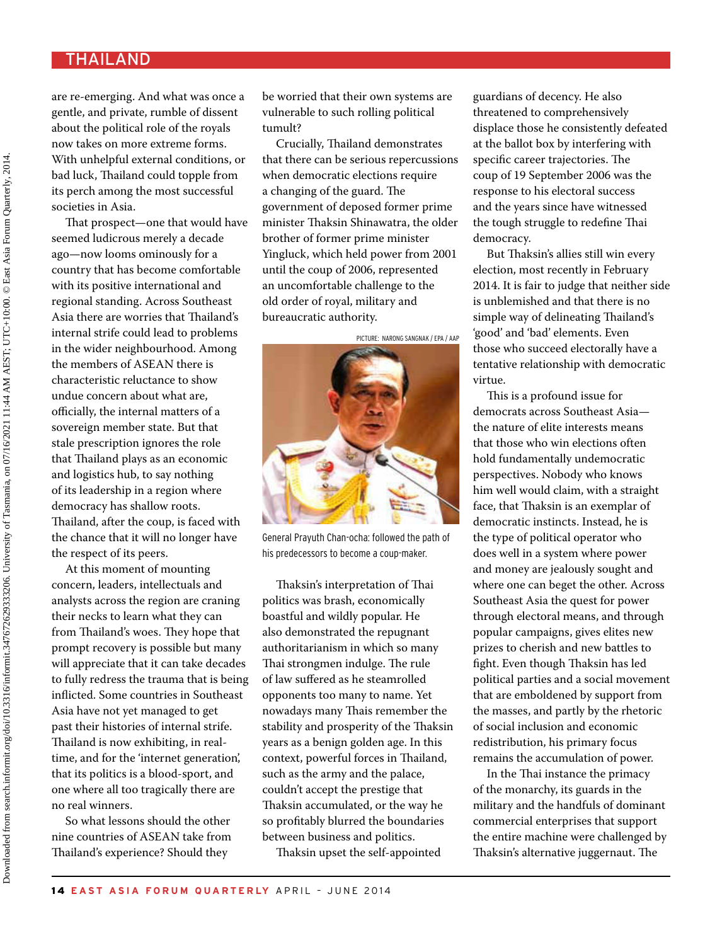## **THAILAND**

are re-emerging. And what was once a gentle, and private, rumble of dissent about the political role of the royals now takes on more extreme forms. With unhelpful external conditions, or bad luck, Thailand could topple from its perch among the most successful societies in Asia.

That prospect—one that would have seemed ludicrous merely a decade ago—now looms ominously for a country that has become comfortable with its positive international and regional standing. Across Southeast Asia there are worries that Thailand's internal strife could lead to problems in the wider neighbourhood. Among the members of ASEAN there is characteristic reluctance to show undue concern about what are, officially, the internal matters of a sovereign member state. But that stale prescription ignores the role that Thailand plays as an economic and logistics hub, to say nothing of its leadership in a region where democracy has shallow roots. Thailand, after the coup, is faced with the chance that it will no longer have the respect of its peers.

At this moment of mounting concern, leaders, intellectuals and analysts across the region are craning their necks to learn what they can from Thailand's woes. They hope that prompt recovery is possible but many will appreciate that it can take decades to fully redress the trauma that is being inflicted. Some countries in Southeast Asia have not yet managed to get past their histories of internal strife. Thailand is now exhibiting, in realtime, and for the 'internet generation', that its politics is a blood-sport, and one where all too tragically there are no real winners.

So what lessons should the other nine countries of ASEAN take from Thailand's experience? Should they

be worried that their own systems are vulnerable to such rolling political tumult?

Crucially, Thailand demonstrates that there can be serious repercussions when democratic elections require a changing of the guard. The government of deposed former prime minister Thaksin Shinawatra, the older brother of former prime minister Yingluck, which held power from 2001 until the coup of 2006, represented an uncomfortable challenge to the old order of royal, military and bureaucratic authority.

picture: narong sangnak / epa / AAp



General Prayuth Chan-ocha: followed the path of his predecessors to become a coup-maker.

Thaksin's interpretation of Thai politics was brash, economically boastful and wildly popular. He also demonstrated the repugnant authoritarianism in which so many Thai strongmen indulge. The rule of law suffered as he steamrolled opponents too many to name. Yet nowadays many Thais remember the stability and prosperity of the Thaksin years as a benign golden age. In this context, powerful forces in Thailand, such as the army and the palace, couldn't accept the prestige that Thaksin accumulated, or the way he so profitably blurred the boundaries between business and politics.

Thaksin upset the self-appointed

guardians of decency. He also threatened to comprehensively displace those he consistently defeated at the ballot box by interfering with specific career trajectories. The coup of 19 September 2006 was the response to his electoral success and the years since have witnessed the tough struggle to redefine Thai democracy.

But Thaksin's allies still win every election, most recently in February 2014. It is fair to judge that neither side is unblemished and that there is no simple way of delineating Thailand's 'good' and 'bad' elements. Even those who succeed electorally have a tentative relationship with democratic virtue.

This is a profound issue for democrats across Southeast Asia the nature of elite interests means that those who win elections often hold fundamentally undemocratic perspectives. Nobody who knows him well would claim, with a straight face, that Thaksin is an exemplar of democratic instincts. Instead, he is the type of political operator who does well in a system where power and money are jealously sought and where one can beget the other. Across Southeast Asia the quest for power through electoral means, and through popular campaigns, gives elites new prizes to cherish and new battles to fight. Even though Thaksin has led political parties and a social movement that are emboldened by support from the masses, and partly by the rhetoric of social inclusion and economic redistribution, his primary focus remains the accumulation of power.

In the Thai instance the primacy of the monarchy, its guards in the military and the handfuls of dominant commercial enterprises that support the entire machine were challenged by Thaksin's alternative juggernaut. The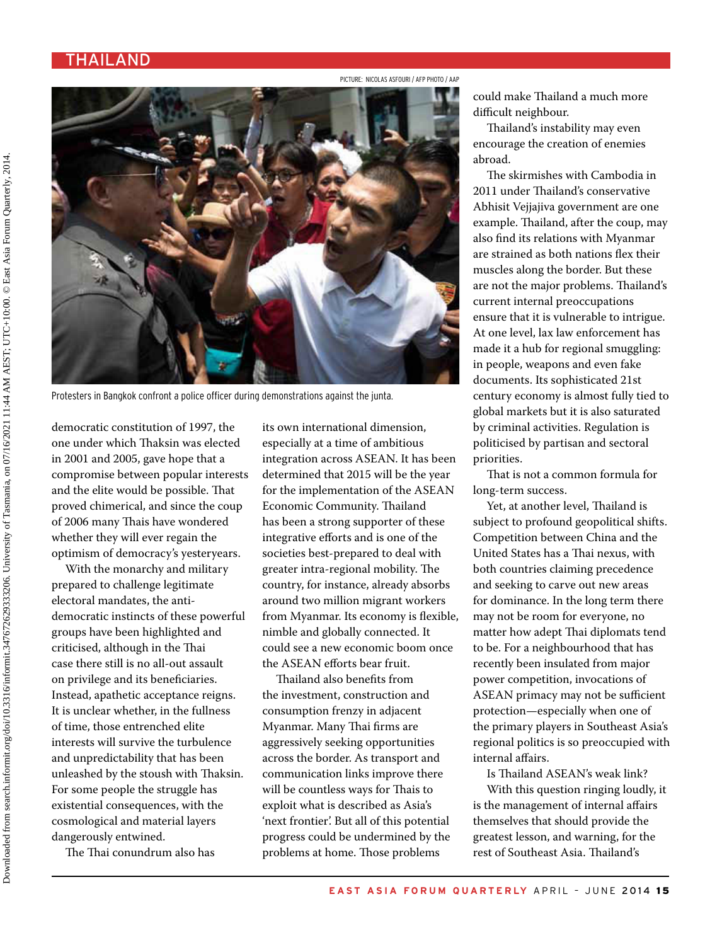#### **THAILAND**

picture: Nicolas ASFOURI / afp photo / AAp



Protesters in Bangkok confront a police officer during demonstrations against the junta.

democratic constitution of 1997, the one under which Thaksin was elected in 2001 and 2005, gave hope that a compromise between popular interests and the elite would be possible. That proved chimerical, and since the coup of 2006 many Thais have wondered whether they will ever regain the optimism of democracy's yesteryears.

With the monarchy and military prepared to challenge legitimate electoral mandates, the antidemocratic instincts of these powerful groups have been highlighted and criticised, although in the Thai case there still is no all-out assault on privilege and its beneficiaries. Instead, apathetic acceptance reigns. It is unclear whether, in the fullness of time, those entrenched elite interests will survive the turbulence and unpredictability that has been unleashed by the stoush with Thaksin. For some people the struggle has existential consequences, with the cosmological and material layers dangerously entwined.

The Thai conundrum also has

its own international dimension, especially at a time of ambitious integration across ASEAN. It has been determined that 2015 will be the year for the implementation of the ASEAN Economic Community. Thailand has been a strong supporter of these integrative efforts and is one of the societies best-prepared to deal with greater intra-regional mobility. The country, for instance, already absorbs around two million migrant workers from Myanmar. Its economy is flexible, nimble and globally connected. It could see a new economic boom once the ASEAN efforts bear fruit.

Thailand also benefits from the investment, construction and consumption frenzy in adjacent Myanmar. Many Thai firms are aggressively seeking opportunities across the border. As transport and communication links improve there will be countless ways for Thais to exploit what is described as Asia's 'next frontier'. But all of this potential progress could be undermined by the problems at home. Those problems

could make Thailand a much more difficult neighbour.

Thailand's instability may even encourage the creation of enemies abroad.

The skirmishes with Cambodia in 2011 under Thailand's conservative Abhisit Vejjajiva government are one example. Thailand, after the coup, may also find its relations with Myanmar are strained as both nations flex their muscles along the border. But these are not the major problems. Thailand's current internal preoccupations ensure that it is vulnerable to intrigue. At one level, lax law enforcement has made it a hub for regional smuggling: in people, weapons and even fake documents. Its sophisticated 21st century economy is almost fully tied to global markets but it is also saturated by criminal activities. Regulation is politicised by partisan and sectoral priorities.

That is not a common formula for long-term success.

Yet, at another level, Thailand is subject to profound geopolitical shifts. Competition between China and the United States has a Thai nexus, with both countries claiming precedence and seeking to carve out new areas for dominance. In the long term there may not be room for everyone, no matter how adept Thai diplomats tend to be. For a neighbourhood that has recently been insulated from major power competition, invocations of ASEAN primacy may not be sufficient protection—especially when one of the primary players in Southeast Asia's regional politics is so preoccupied with internal affairs.

Is Thailand ASEAN's weak link? With this question ringing loudly, it is the management of internal affairs themselves that should provide the greatest lesson, and warning, for the rest of Southeast Asia. Thailand's